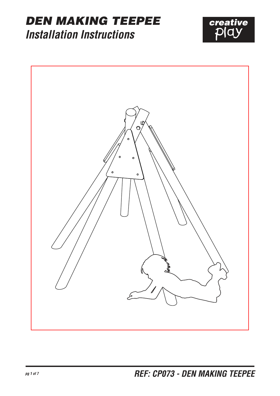#### DEN MAKING TEEPEE **Installation Instructions**



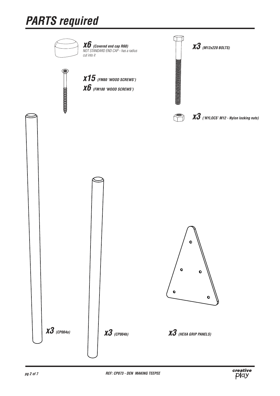## **PARTS required**

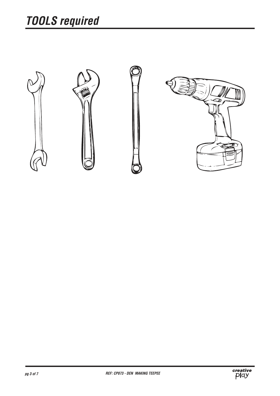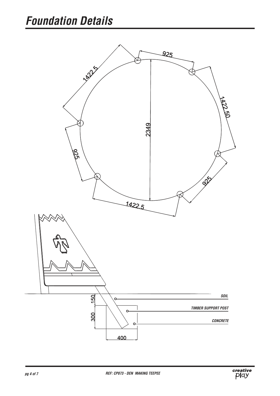

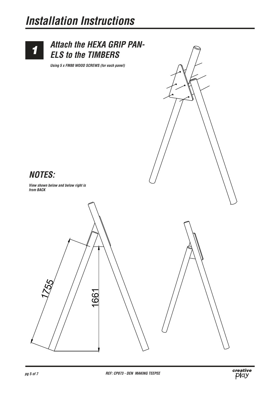## **Installation Instructions**



#### **Attach the HEXA GRIP PAN-ELS to the TIMBERS**



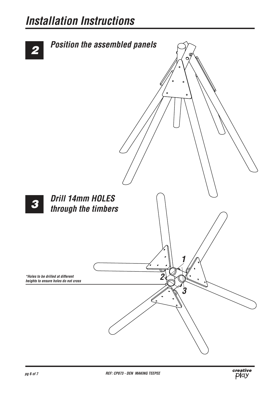#### **Installation Instructions**